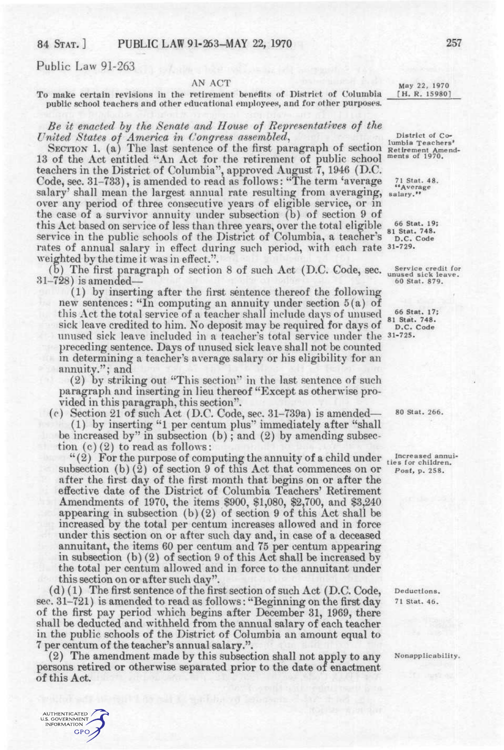## 84 STAT. ] PUBLIC LAW 91-263-MAY 22, 1970 257

Public Law 91-263

AUTHENTICATED U.S. GOVERNMENT GPO

AN ACT<br>
retirement benefits of District of Columbia [H. R. 15980] To make certain revisions in the retirement benefits of District of Columbia public school teachers and other educational employees, and for other purposes.

*Be it enacted hy the Senate and House of Representatives of the United States of America in Congress assembled,* District of Co-<br>lumbia Teachers'

SECTION 1. (a) The last sentence of the first paragraph of section Retirement and  $\mathbb{R}^n$  and  $\mathbb{R}^n$  and  $\mathbb{R}^n$  and  $\mathbb{R}^n$  and  $\mathbb{R}^n$  and  $\mathbb{R}^n$  and  $\mathbb{R}^n$  and  $\mathbb{R}^n$  and  $\mathbb{R}^n$  and  $\mathbb$ 13 of the Act entitled "An Act for the retirement of public school teachers in the District of Columbia'', approved August 7, 1946 (D.C. Code, sec. 31–733), is amended to read as follows: "The term 'average *[1 Stat. 48.* salary' shall mean the largest annual rate resulting from averaging,  $_{\rm salary}$ . over any period of three consecutive years of eligible service, or in the case of a survivor annuity under subsection (b) of section 9 of this Act based on service of less than three years, over the total eligible  $_{81}^{66}$  Stat. 19;<br>service in the public schools of the District of Columbia, a teacher's  $_{D.C. Code}^{66}$ service in the public schools of the District of Columbia, a teacher's rates of annual salary in effect during such period, with each rate 31-729. weighted by the time it was in effect.".

(b) The first paragraph of section 8 of such Act (D.C. Code, sec. *naused sick leave*.  $31-728$ ) is amended— and stat. 879.

(1) by inserting after the first sentence thereof the following new sentences: "In computing an annuity under section 5(a) of this Act the total service of a teacher shall include days of unused  $\frac{66}{81}$ <sup>66</sup> Stat. 748. sick leave credited to him. No deposit may be required for days of  $\mathbb{R}$ . C. Code unused sick leave included in a teacher's total service under the 31-725. preceding sentence. Days of unused sick leave shall not be counted in determining a teacher's average salary or his eligibility for an annuity."; and

(2) by striking out "This section" in the last sentence of such paragraph and inserting in lieu thereof "Except as otherwise provided in this paragraph, this section".

(c) Section 21 of such Act (D.C. Code, sec.  $31-739a$ ) is amended—  $80$  Stat. 266. (1) by inserting "1 per centum plus'' immediately after "shall be increased by" in subsection  $(b)$ ; and  $(2)$  by amending subsection (c) (2) to read as follows:

"(2) For the purpose of computing the annuity of a child under the stor children. subsection (b) (2) of section 9 of this Act that commences on or *post,* p. 258, after the first day of the first month that begins on or after the effective date of the District of Columbia Teachers' Retirement Amendments of 1970, the items \$900, \$1,080, \$2,700, and \$3,240 appearing in subsection (b) (2) of section 9 of this Act shall be increased by the total per centum increases allowed and in force under this section on or after such day and, in case of a deceased annuitant, the items 60 per centum and 75 per centum appearing in subsection (b)(2) of section 9 of this Act shall be increased by the total per centum allowed and in force to the annuitant under this section on or after such day".

 $(d)$  (1) The first sentence of the first section of such Act (D.C. Code, Deductions. sec.  $31-721$ ) is amended to read as follows: "Beginning on the first day  $71$  stat. 46. of the first pay period which begins after December 31, 1969, there shall be deducted and withheld from the annual salary of each teacher in the public schools of the District of Columbia an amount equal to 7 per centum of the teacher's annual salary.".

(2) The amendment made by this subsection shall not apply to any Nonapplicability. persons retired or otherwise separated prior to the date of enactment of this Act.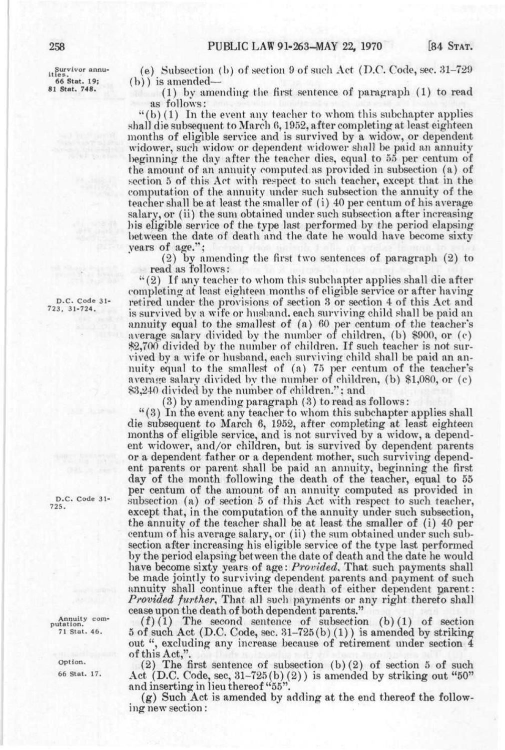gurvivor annu-ities. **66 Stat. 19; 81 Stat. 748.** 

(e) Subsection (b) of section 9 of such Act (D.C. Code, sec. 31-729 (b)) is amended—

 $(1)$  by amending the first sentence of paragraph  $(1)$  to read as follows:

''(b) (1) In the event any teacher to whom this subchapter applies shall die subsequent to March 6, 1952, after completing at least eighteen months of eligible service and is survived by a widow, or dependent widower, such widow or dependent widower shall be paid an annuity beginning the day after the teacher dies, equal to 55 per centum of the amount of an annuity computed as provided in subsection (a) of section 5 of this Act with respect to such teacher, except that in the computation of the annuity mider such subsection the annuity of the teacher shall be at least the smaller of (i) 40 per centum of his average salary, or (ii) the sum obtained under such subsection after increasing his eligible service of the type last performed by the period elapsing between the date of death and the date he would have become sixty years of age.";

(2) by amending the first two sentences of paragraph (2) to read as follows:

''(2) If any teacher to whom this subchapter applies shall die after completing at least eighteen months of eligible service or after having retired under the provisions of section 3 or section 4 of this Act and is survived by a wife or husband, each surviving child shall be paid an annuity equal to the smallest of (a) 60 per centum of the teacher's average salary divided by the number of children, (b) \$900, or (c) \$2,700 divided by the number of children. If such teacher is not survived by a wife or husband, each surviving child shall be paid an annuity equal to the smallest of (a) 75 per centum of the teacher's average salary divided by the number of children,  $(b)$  \$1,080, or  $(c)$ \$3,240 divided by the number of children.''; and

(3) by amending paragraph (3) to read as follows:

"(3) In the event any teacher to whom this subchapter applies shall die subsequent to March 6, 1952, after completing at least eighteen months of eligible service, and is not survived by a widow, a dependent widower, and/or children, but is survived by dependent parents or a dependent father or a dependent mother, such surviving dependent parents or parent shall be paid an annuity, beginning the first day of the month following the death of the teacher, equal to 55 per centum of the amount of an annuity computed as provided in subsection (a) of section 5 of this Act with respect to such teacher, except that, in the computation of the annuity under such subsection, the annuity of the teacher shall be at least the smaller of (i) 40 per centum of his average salary, or (ii) the sum obtained under such subsection after increasing his eligible service of the type last performed by the period elapsing between the date of death and the date he would have become sixty years of age: *Provided.* That such payments shall be made jointly to surviving dependent parents and payment of such annuity shall continue after the death of either dependent parent: *Provided further^* That all such payments or any right thereto shall cease upon the death of both dependent parents."

 $(f)(1)$  The second sentence of subsection  $(b)(1)$  of section 5 of such Act (D.C. Code, sec.  $31-725(b)(1)$ ) is amended by striking out ", excluding any increase because of retirement under section 4 of this Act,".

(2) The first sentence of subsection (b) (2) of section 5 of such Act (D.C. Code, sec,  $31-725(b)(2)$ ) is amended by striking out " $50$ " and inserting in lieu thereof "55".

(g) Such Act is amended by adding at the end thereof the following new section:

D.C. Code 31- 723, 31-724,

D.C. Code 31- 725.

Annuity com-putation. 71 Stat. 46.

> Option. 66 Stat. 17.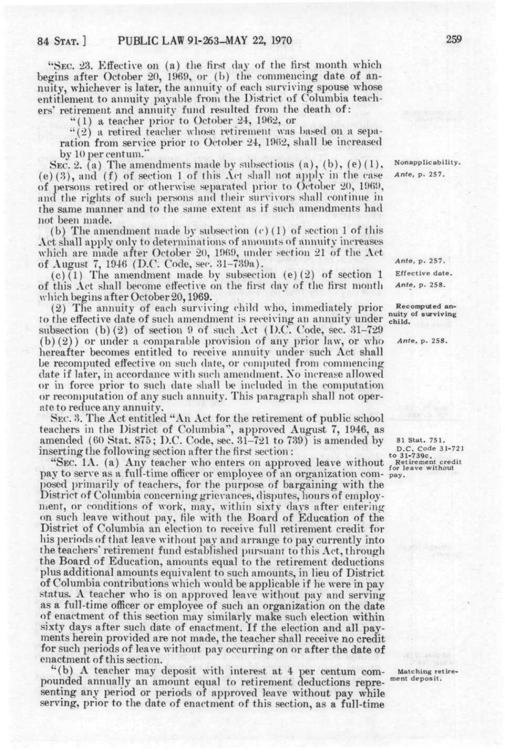"SEC. 23. Effective on (a) the first day of the first month which begins after October 20, 1969, or (b) the commencing date of annuity, whichever is later, the annuity of each surviving spouse whose entitlement to annuity payable from the District of Columbia teachers' retirement and annuity fund resulted from the death of:

 $"(1)$  a teacher prior to October 24, 1962, or

•'(2) a retired teacher whose retirement was based on a separation from service prior to October 24, 1962, shall be increased by 10 per centum.

SEC. 2. (a) The amendments made by subsections (a), (b), (e)(1), Nonapplicability.<br>(3), and (f) of section 1 of this Act shall not apply in the case *Ante, p.* 257. (e)(3), and (f) of section 1 of this  $\Lambda$ ct shall not apply in the case of persons retired or otherwise separated prior to October 20, 1969, and the rights of such persons and their survivors shall continue in the same manner and to the same extent as if such amendments had not been made.

(b) The amendment made by subsection (c) (1) of section 1 of this Act shall apply only to determinations of amounts of annuity increases which are made after October 20, 1969, under section 21 of the Act of August 7, 1946 (D.C. Code, sec. 31–739a). Ante, p. 257.<br>(c)(1) The amendment made by subsection (e)(2) of section 1 Effective date.

(c)(1) The amendment made by subsection (e)(2) of section 1 Effective date.<br>this Act shall become effective on the first day of the first month. Ante, p. 258. of this Act shall become effective on the first day of the first month which begins after October 20,1969.

(2) The annuity of each surviving child who, immediately prior Recomputed anto the effective date of such amendment is receiving an annuity under child. subsection (b)(2) of section 9 of such Act (I).C. Code, sec. 31-729 (b)(2)) or under a comparable provision of any prior law, or who  $A$ <sup>nte, p. 258.</sup> hereafter becomes entitled to receive annuity under such Act shall be recomputed effective on such date, or computed from commencing date if later, in accordance with such amendment. Xo increase allowed or in force prior to such date shall be included in the computation or recomputation of any such annuity. This paragraph shall not operate to reduce any annuity.

SEC. 3. The Act entitled "An Act for the retirement of public school teachers in the District of Columbia\*', approved August 7, 1946, as amended (60 Stat. 875; D.C. Code, sec. 31-721 to 739) is amended by si stat. 751. inserting the following section after the first section :<br>to<sup>21-739</sup>c.  $\frac{1}{2}$ 

"SEC. 1A. (a) Any teacher who enters on approved leave without  $\epsilon_{\rm or\ less\ without}$ pay to serve as a full-time officer or employee of an organization com- pay. posed primarily of teachers, for the purpose of bargaining with the District of Columbia concerning grievances, disputes, hours of employment, or conditions of work, may, within sixty days after entering on such leave without pay, file with the Board of Education of the District of Columbia an election to receive full retirement credit for his periods of that leave without pay and arrange to pay currently into the teachers' retirement fund established pursuant to this Act, through the Board of Education, amounts equal to the retirement deductions plus additional amounts equivalent to such amounts, in lieu of District of Columbia contributions which would be applicable if he were in pay status. A teacher who is on approved leave without pay and serving as a full-time officer or employee of such an organization on the date of enactment of this section may similarly make such election within sixty days after such date of enactment. If the election and all payments herein provided are not made, the teacher shall receive no credit for such periods of leave without pay occurring on or after the date of enactment of this section. enactment of this section.<br>"(b) A teacher may deposit with interest at 4 per centum com-

"(b) A teacher may deposit with interest at 4 per centum com- Matching retire-<br>pounded annually an amount equal to retirement deductions repre- nent deposit. senting any period or periods of approved leave without pay while serving any period or periods or approved have whilout pay while serving, prior to the date of enactment of this section, as a full-time